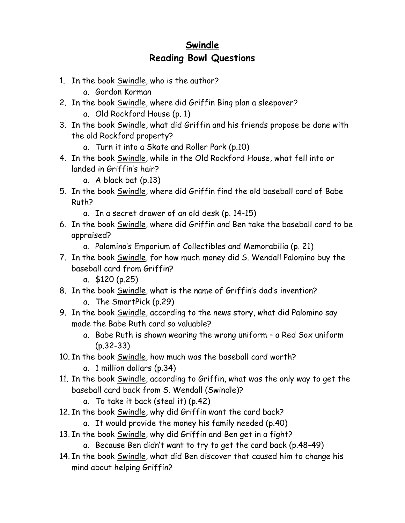## **Swindle Reading Bowl Questions**

- 1. In the book Swindle, who is the author?
	- a. Gordon Korman
- 2. In the book Swindle, where did Griffin Bing plan a sleepover?
	- a. Old Rockford House (p. 1)
- 3. In the book Swindle, what did Griffin and his friends propose be done with the old Rockford property?
	- a. Turn it into a Skate and Roller Park (p.10)
- 4. In the book Swindle, while in the Old Rockford House, what fell into or landed in Griffin's hair?
	- a. A black bat (p.13)
- 5. In the book Swindle, where did Griffin find the old baseball card of Babe Ruth?
	- a. In a secret drawer of an old desk (p. 14-15)
- 6. In the book Swindle, where did Griffin and Ben take the baseball card to be appraised?
	- a. Palomino's Emporium of Collectibles and Memorabilia (p. 21)
- 7. In the book Swindle, for how much money did S. Wendall Palomino buy the baseball card from Griffin?
	- a. \$120 (p.25)
- 8. In the book Swindle, what is the name of Griffin's dad's invention?
	- a. The SmartPick (p.29)
- 9. In the book Swindle, according to the news story, what did Palomino say made the Babe Ruth card so valuable?
	- a. Babe Ruth is shown wearing the wrong uniform a Red Sox uniform (p.32-33)
- 10. In the book Swindle, how much was the baseball card worth?
	- a. 1 million dollars (p.34)
- 11. In the book Swindle, according to Griffin, what was the only way to get the baseball card back from S. Wendall (Swindle)?
	- a. To take it back (steal it) (p.42)
- 12. In the book Swindle, why did Griffin want the card back?
	- a. It would provide the money his family needed (p.40)
- 13. In the book Swindle, why did Griffin and Ben get in a fight?
	- a. Because Ben didn't want to try to get the card back (p.48-49)
- 14. In the book Swindle, what did Ben discover that caused him to change his mind about helping Griffin?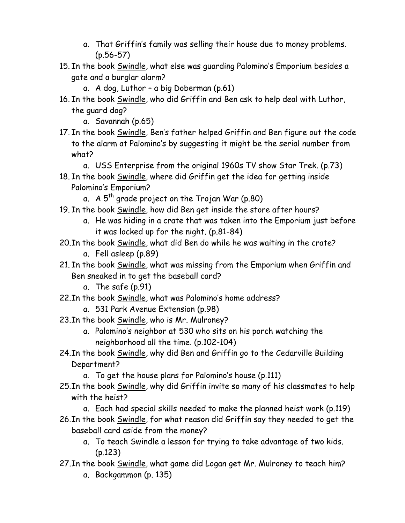- a. That Griffin's family was selling their house due to money problems. (p.56-57)
- 15. In the book Swindle, what else was guarding Palomino's Emporium besides a gate and a burglar alarm?
	- a. A dog, Luthor a big Doberman (p.61)
- 16. In the book Swindle, who did Griffin and Ben ask to help deal with Luthor, the guard dog?
	- a. Savannah (p.65)
- 17. In the book Swindle, Ben's father helped Griffin and Ben figure out the code to the alarm at Palomino's by suggesting it might be the serial number from what?
	- a. USS Enterprise from the original 1960s TV show Star Trek. (p.73)
- 18. In the book Swindle, where did Griffin get the idea for getting inside Palomino's Emporium?
	- a.  $A 5<sup>th</sup>$  grade project on the Trojan War (p.80)
- 19. In the book Swindle, how did Ben get inside the store after hours?
	- a. He was hiding in a crate that was taken into the Emporium just before it was locked up for the night. (p.81-84)
- 20. In the book Swindle, what did Ben do while he was waiting in the crate?
	- a. Fell asleep (p.89)
- 21. In the book Swindle, what was missing from the Emporium when Griffin and Ben sneaked in to get the baseball card?
	- a. The safe (p.91)
- 22.In the book Swindle, what was Palomino's home address?
	- a. 531 Park Avenue Extension (p.98)
- 23.In the book Swindle, who is Mr. Mulroney?
	- a. Palomino's neighbor at 530 who sits on his porch watching the neighborhood all the time. (p.102-104)
- 24. In the book Swindle, why did Ben and Griffin go to the Cedarville Building Department?
	- a. To get the house plans for Palomino's house (p.111)
- 25.In the book Swindle, why did Griffin invite so many of his classmates to help with the heist?
	- a. Each had special skills needed to make the planned heist work (p.119)
- 26.In the book Swindle, for what reason did Griffin say they needed to get the baseball card aside from the money?
	- a. To teach Swindle a lesson for trying to take advantage of two kids. (p.123)
- 27. In the book Swindle, what game did Logan get Mr. Mulroney to teach him?
	- a. Backgammon (p. 135)